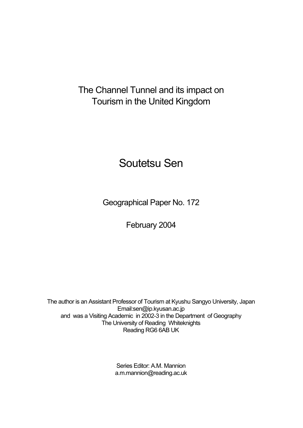# The Channel Tunnel and its impact on Tourism in the United Kingdom

# Soutetsu Sen

Geographical Paper No. 172

February 2004

The author is an Assistant Professor of Tourism at Kyushu Sangyo University, Japan Email:sen@ip.kyusan.ac.jp and was a Visiting Academic in 2002-3 in the Department of Geography The University of Reading Whiteknights Reading RG6 6AB UK

> Series Editor: A.M. Mannion a.m.mannion@reading.ac.uk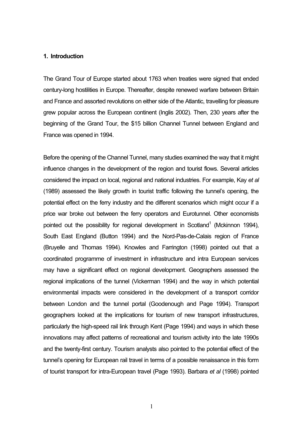#### **1. Introduction**

The Grand Tour of Europe started about 1763 when treaties were signed that ended century-long hostilities in Europe. Thereafter, despite renewed warfare between Britain and France and assorted revolutions on either side of the Atlantic, travelling for pleasure grew popular across the European continent (Inglis 2002). Then, 230 years after the beginning of the Grand Tour, the \$15 billion Channel Tunnel between England and France was opened in 1994.

Before the opening of the Channel Tunnel, many studies examined the way that it might influence changes in the development of the region and tourist flows. Several articles considered the impact on local, regional and national industries. For example, Kay *et al* (1989) assessed the likely growth in tourist traffic following the tunnel's opening, the potential effect on the ferry industry and the different scenarios which might occur if a price war broke out between the ferry operators and Eurotunnel. Other economists pointed out the possibility for regional development in Scotland<sup>1</sup> (Mckinnon 1994), South East England (Button 1994) and the Nord-Pas-de-Calais region of France (Bruyelle and Thomas 1994). Knowles and Farrington (1998) pointed out that a coordinated programme of investment in infrastructure and intra European services may have a significant effect on regional development. Geographers assessed the regional implications of the tunnel (Vickerman 1994) and the way in which potential environmental impacts were considered in the development of a transport corridor between London and the tunnel portal (Goodenough and Page 1994). Transport geographers looked at the implications for tourism of new transport infrastructures, particularly the high-speed rail link through Kent (Page 1994) and ways in which these innovations may affect patterns of recreational and tourism activity into the late 1990s and the twenty-first century. Tourism analysts also pointed to the potential effect of the tunnel's opening for European rail travel in terms of a possible renaissance in this form of tourist transport for intra-European travel (Page 1993). Barbara *et al* (1998) pointed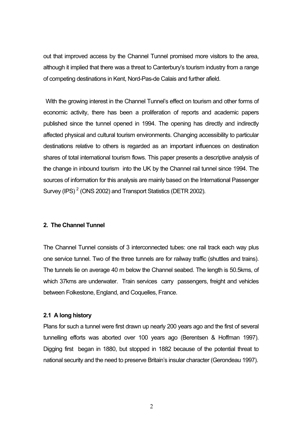out that improved access by the Channel Tunnel promised more visitors to the area, although it implied that there was a threat to Canterbury's tourism industry from a range of competing destinations in Kent, Nord-Pas-de Calais and further afield.

With the growing interest in the Channel Tunnel's effect on tourism and other forms of economic activity, there has been a proliferation of reports and academic papers published since the tunnel opened in 1994. The opening has directly and indirectly affected physical and cultural tourism environments. Changing accessibility to particular destinations relative to others is regarded as an important influences on destination shares of total international tourism flows. This paper presents a descriptive analysis of the change in inbound tourism into the UK by the Channel rail tunnel since 1994. The sources of information for this analysis are mainly based on the International Passenger Survey (IPS)<sup>2</sup> (ONS 2002) and Transport Statistics (DETR 2002).

#### **2. The Channel Tunnel**

The Channel Tunnel consists of 3 interconnected tubes: one rail track each way plus one service tunnel. Two of the three tunnels are for railway traffic (shuttles and trains). The tunnels lie on average 40 m below the Channel seabed. The length is 50.5kms, of which 37kms are underwater. Train services carry passengers, freight and vehicles between Folkestone, England, and Coquelles, France.

# **2.1 A long history**

Plans for such a tunnel were first drawn up nearly 200 years ago and the first of several tunnelling efforts was aborted over 100 years ago (Berentsen & Hoffman 1997). Digging first began in 1880, but stopped in 1882 because of the potential threat to national security and the need to preserve Britain's insular character (Gerondeau 1997).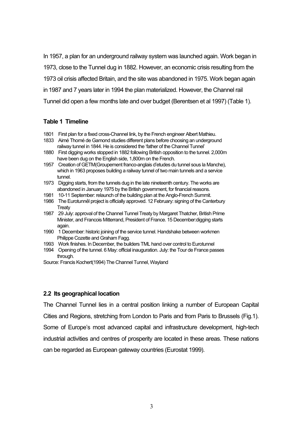In 1957, a plan for an underground railway system was launched again. Work began in 1973, close to the Tunnel dug in 1882. However, an economic crisis resulting from the 1973 oil crisis affected Britain, and the site was abandoned in 1975. Work began again in 1987 and 7 years later in 1994 the plan materialized. However, the Channel rail Tunnel did open a few months late and over budget (Berentsen et al 1997) (Table 1).

#### **Table 1 Timeline**

- 1801 First plan for a fixed cross-Channel link, by the French engineer Albert Mathieu.
- 1833 Aimé Thomé de Gamond studies different plans before choosing an underground railway tunnel in 1844. He is considered the 'father of the Channel Tunnel'
- 1880 First digging works stopped in 1882 following British opposition to the tunnel. 2,000m have been dug on the English side, 1,800m on the French.
- 1957 Creation of GETM(Groupement franco-anglais d'etudes du tunnel sous la Manche), which in 1963 proposes building a railway tunnel of two main tunnels and a service tunnel.
- 1973 Digging starts, from the tunnels dug in the late nineteenth century. The works are abandoned in January 1975 by the British government, for financial reasons.
- 1981 10-11 September: relaunch of the building plan at the Anglo-French Summit.
- 1986 The Eurotunnẻl project is officially approved. 12 February: signing of the Canterbury **Treaty**
- 1987 29 July: approval of the Channel Tunnel Treaty by Margaret Thatcher, British Prime Minister, and Francois Mitterrand, President of France. 15 December:digging starts again.
- 1990 1 December: historic joining of the service tunnel. Handshake between workmen Philippe Cozette and Graham Fagg.
- 1993 Work finishes. In December, the builders TML hand over control to Eurotunnel
- 1994 Opening of the tunnel. 6 May: official inauguration. July: the Tour de France passes through.

Source: Francis Kochert(1994) The Channel Tunnel, Wayland

## **2.2 Its geographical location**

The Channel Tunnel lies in a central position linking a number of European Capital Cities and Regions, stretching from London to Paris and from Paris to Brussels (Fig.1). Some of Europe's most advanced capital and infrastructure development, high-tech industrial activities and centres of prosperity are located in these areas. These nations can be regarded as European gateway countries (Eurostat 1999).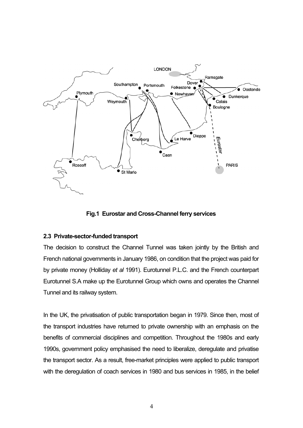

**Fig.1 Eurostar and Cross-Channel ferry services**

# **2.3 Private-sector-funded transport**

The decision to construct the Channel Tunnel was taken jointly by the British and French national governments in January 1986, on condition that the project was paid for by private money (Holliday *et al* 1991). Eurotunnel P.L.C. and the French counterpart Eurotunnel S.A make up the Eurotunnel Group which owns and operates the Channel Tunnel and its railway system.

In the UK, the privatisation of public transportation began in 1979. Since then, most of the transport industries have returned to private ownership with an emphasis on the benefits of commercial disciplines and competition. Throughout the 1980s and early 1990s, government policy emphasised the need to liberalize, deregulate and privatise the transport sector. As a result, free-market principles were applied to public transport with the deregulation of coach services in 1980 and bus services in 1985, in the belief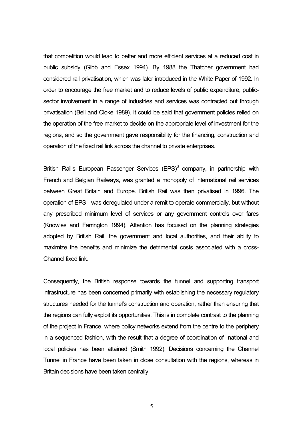that competition would lead to better and more efficient services at a reduced cost in public subsidy (Gibb and Essex 1994). By 1988 the Thatcher government had considered rail privatisation, which was later introduced in the White Paper of 1992. In order to encourage the free market and to reduce levels of public expenditure, publicsector involvement in a range of industries and services was contracted out through privatisation (Bell and Cloke 1989). It could be said that government policies relied on the operation of the free market to decide on the appropriate level of investment for the regions, and so the government gave responsibility for the financing, construction and operation of the fixed rail link across the channel to private enterprises.

British Rail's European Passenger Services  $(EPS)^3$  company, in partnership with French and Belgian Railways, was granted a monopoly of international rail services between Great Britain and Europe. British Rail was then privatised in 1996. The operation of EPS was deregulated under a remit to operate commercially, but without any prescribed minimum level of services or any government controls over fares (Knowles and Farrington 1994). Attention has focused on the planning strategies adopted by British Rail, the government and local authorities, and their ability to maximize the benefits and minimize the detrimental costs associated with a cross-Channel fixed link.

Consequently, the British response towards the tunnel and supporting transport infrastructure has been concerned primarily with establishing the necessary regulatory structures needed for the tunnel's construction and operation, rather than ensuring that the regions can fully exploit its opportunities. This is in complete contrast to the planning of the project in France, where policy networks extend from the centre to the periphery in a sequenced fashion, with the result that a degree of coordination of national and local policies has been attained (Smith 1992). Decisions concerning the Channel Tunnel in France have been taken in close consultation with the regions, whereas in Britain decisions have been taken centrally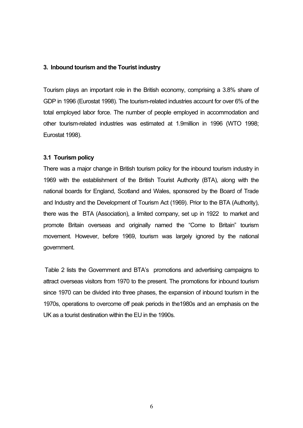## **3. Inbound tourism and the Tourist industry**

Tourism plays an important role in the British economy, comprising a 3.8% share of GDP in 1996 (Eurostat 1998). The tourism-related industries account for over 6% of the total employed labor force. The number of people employed in accommodation and other tourism-related industries was estimated at 1.9million in 1996 (WTO 1998; Eurostat 1998).

# **3.1 Tourism policy**

There was a major change in British tourism policy for the inbound tourism industry in 1969 with the establishment of the British Tourist Authority (BTA), along with the national boards for England, Scotland and Wales, sponsored by the Board of Trade and Industry and the Development of Tourism Act (1969). Prior to the BTA (Authority), there was the BTA (Association), a limited company, set up in 1922 to market and promote Britain overseas and originally named the "Come to Britain" tourism movement. However, before 1969, tourism was largely ignored by the national government.

Table 2 lists the Government and BTA's promotions and advertising campaigns to attract overseas visitors from 1970 to the present. The promotions for inbound tourism since 1970 can be divided into three phases, the expansion of inbound tourism in the 1970s, operations to overcome off peak periods in the1980s and an emphasis on the UK as a tourist destination within the EU in the 1990s.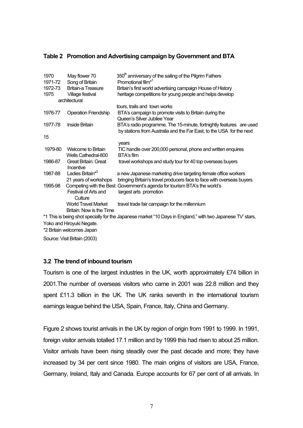# **Table 2 Promotion and Advertising campaign by Government and BTA**

| 1970    | May flower 70                            | 350 <sup>th</sup> anniversary of the sailing of the Pilgrim Fathers                                                                         |
|---------|------------------------------------------|---------------------------------------------------------------------------------------------------------------------------------------------|
| 1971-72 | Song of Britain                          | Promotional film <sup>*1</sup>                                                                                                              |
| 1972-73 | <b>Britain-a Treasure</b>                | Britain's first world advertising campaign House of History                                                                                 |
| 1975    | Village festival                         | heritage competitions for young people and helps develop                                                                                    |
|         | architectural                            |                                                                                                                                             |
|         |                                          | tours, trails and town works                                                                                                                |
| 1976-77 | <b>Operation Friendship</b>              | BTA's campaign to promote visits to Britain during the                                                                                      |
|         |                                          | Queen's Silver Jubilee Year                                                                                                                 |
| 1977-78 | <b>Inside Britain</b>                    | BTA's radio programme. The 15-minute, fortnightly features are used<br>by stations from Australia and the Far East, to the USA for the next |
| 15      |                                          |                                                                                                                                             |
|         |                                          | years                                                                                                                                       |
| 1979-80 | <b>Welcome to Britain</b>                | TIC handle over 200,000 personal, phone and written enquires                                                                                |
|         | Wells Cathedral-800                      | BTA's film                                                                                                                                  |
| 1986-87 | <b>Great Britain: Great</b><br>Incentive | travel workshops and study tour for 40 top overseas buyers                                                                                  |
| 1987-88 | Ladies Britain <sup>*2</sup>             | a new Japanese marketing drive targeting female office workers                                                                              |
|         | 21 years of workshops                    | bringing Britain's travel producers face to face with overseas buyers                                                                       |
| 1995-98 | Competing with the Best                  | Government's agenda for tourism BTA's the world's                                                                                           |
|         | Festival of Arts and                     | largest arts promotion                                                                                                                      |
|         | Culture                                  |                                                                                                                                             |
|         | <b>World Travel Market</b>               | travel trade fair campaign for the millennium                                                                                               |
|         | Britain: Now is the Time                 |                                                                                                                                             |
|         |                                          | *1 This is being shot specially for the Japanese market "10 Days in England," with two Japanese TV' stars,                                  |
|         | Volce and Llimera dd Monate              |                                                                                                                                             |

Yoko and Hiroyuki Negate.

\*2 Britain welcomes Japan

Source: Visit Britain (2003)

# **3.2 The trend of inbound tourism**

Tourism is one of the largest industries in the UK, worth approximately £74 billion in 2001.The number of overseas visitors who came in 2001 was 22.8 million and they spent £11.3 billion in the UK. The UK ranks seventh in the international tourism earnings league behind the USA, Spain, France, Italy, China and Germany.

Figure 2 shows tourist arrivals in the UK by region of origin from 1991 to 1999. In 1991, foreign visitor arrivals totalled 17.1 million and by 1999 this had risen to about 25 million. Visitor arrivals have been rising steadily over the past decade and more; they have increased by 34 per cent since 1980. The main origins of visitors are USA, France, Germany, Ireland, Italy and Canada. Europe accounts for 67 per cent of all arrivals. In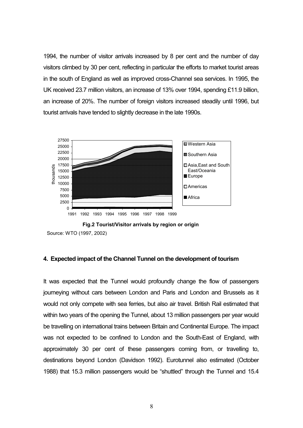1994, the number of visitor arrivals increased by 8 per cent and the number of day visitors climbed by 30 per cent, reflecting in particular the efforts to market tourist areas in the south of England as well as improved cross-Channel sea services. In 1995, the UK received 23.7 million visitors, an increase of 13% over 1994, spending £11.9 billion, an increase of 20%. The number of foreign visitors increased steadily until 1996, but tourist arrivals have tended to slightly decrease in the late 1990s.



**Fig.2 Tourist/Visitor arrivals by region or origin**

# **4. Expected impact of the Channel Tunnel on the development of tourism**

It was expected that the Tunnel would profoundly change the flow of passengers journeving without cars between London and Paris and London and Brussels as it would not only compete with sea ferries, but also air travel. British Rail estimated that within two years of the opening the Tunnel, about 13 million passengers per year would be travelling on international trains between Britain and Continental Europe. The impact was not expected to be confined to London and the South-East of England, with approximately 30 per cent of these passengers coming from, or travelling to, destinations beyond London (Davidson 1992). Eurotunnel also estimated (October 1988) that 15.3 million passengers would be "shuttled" through the Tunnel and 15.4

Source: WTO (1997, 2002)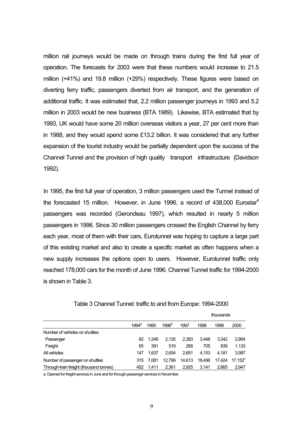million rail journeys would be made on through trains during the first full year of operation. The forecasts for 2003 were that these numbers would increase to 21.5 million (+41%) and 19.8 million (+29%) respectively. These figures were based on diverting ferry traffic, passengers diverted from air transport, and the generation of additional traffic. It was estimated that, 2.2 million passenger journeys in 1993 and 5.2 million in 2003 would be new business (BTA 1989). Likewise, BTA estimated that by 1993, UK would have some 20 million overseas visitors a year, 27 per cent more than in 1988, and they would spend some £13.2 billion. It was considered that any further expansion of the tourist industry would be partially dependent upon the success of the Channel Tunnel and the provision of high quality transport infrastructure (Davidson 1992).

In 1995, the first full year of operation, 3 million passengers used the Tunnel instead of the forecasted 15 million. However, in June 1996, a record of  $438,000$  Eurostar<sup>4</sup> passengers was recorded (Gerondeau 1997), which resulted in nearly 5 million passengers in 1996. Since 30 million passengers crossed the English Channel by ferry each year, most of them with their cars, Eurotunnel was hoping to capture a large part of this existing market and also to create a specific market as often happens when a new supply increases the options open to users. However, Eurotunnel traffic only reached 178,000 cars for the month of June 1996. Channel Tunnel traffic for 1994-2000 is shown in Table 3.

|                                         |          |       |                   |        |        | thousands |            |
|-----------------------------------------|----------|-------|-------------------|--------|--------|-----------|------------|
|                                         | $1994^a$ | 1995  | 1996 <sup>b</sup> | 1997   | 1998   | 1999      | 2000       |
| Number of vehicles on shuttles:         |          |       |                   |        |        |           |            |
| Passenger                               | 82       | 1.246 | 2.135             | 2,383  | 3.448  | 3.342     | 2,864      |
| Freight                                 | 65       | 391   | 519               | 268    | 705    | 839       | 1,133      |
| All vehicles                            | 147      | 1.637 | 2.654             | 2.651  | 4.153  | 4.181     | 3,997      |
| Number of passenger on shuttles         | 315      | 7.081 | 12.799            | 14.613 | 18.496 | 17.424    | $17.152^c$ |
| Through-train freight (thousand tonnes) | 452      | 1.411 | 2.361             | 2.925  | 3.141  | 2.865     | 2,947      |

Table 3 Channel Tunnel: traffic to and from Europe: 1994-2000

a. Opened for freight services in June and for through passenger services in November.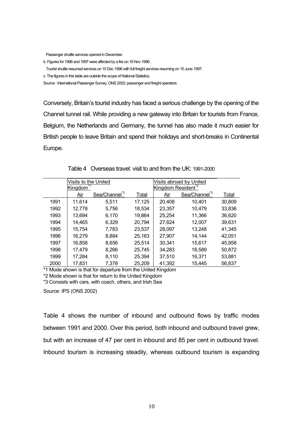Passenger shuttle services opened in December.

b. Figures for 1996 and 1997 were affected by a fire on 16Nov 1996.

Tourist shuttle resumed services on 10 Dec 1996 with full freight services resuming on 15 June 1997.

c. The figures in this table are outside the scope of National Statistics.

Source : International Passenger Survey, ONS 2002; passenger and freight operators

Conversely, Britain's tourist industry has faced a serious challenge by the opening of the Channel tunnel rail. While providing a new gateway into Britain for tourists from France, Belgium, the Netherlands and Germany, the tunnel has also made it much easier for British people to leave Britain and spend their holidays and short-breaks in Continental Europe.

|      | Visits to the United |                          |        | Visits abroad by United |                          |        |  |  |
|------|----------------------|--------------------------|--------|-------------------------|--------------------------|--------|--|--|
|      | Kingdom              |                          |        | Kingdom Resident        |                          |        |  |  |
|      | Air                  | Sea/Channel <sup>3</sup> | Total  | Air                     | Sea/Channel <sup>3</sup> | Total  |  |  |
| 1991 | 11,614               | 5,511                    | 17,125 | 20,408                  | 10,401                   | 30,809 |  |  |
| 1992 | 12,778               | 5,756                    | 18,534 | 23,357                  | 10,479                   | 33,836 |  |  |
| 1993 | 13,694               | 6,170                    | 19,864 | 25,254                  | 11,366                   | 36,620 |  |  |
| 1994 | 14,465               | 6,329                    | 20,794 | 27,624                  | 12,007                   | 39,631 |  |  |
| 1995 | 15,754               | 7,783                    | 23,537 | 28,097                  | 13,248                   | 41,345 |  |  |
| 1996 | 16,279               | 8,884                    | 25,163 | 27,907                  | 14,144                   | 42,051 |  |  |
| 1997 | 16,858               | 8,656                    | 25,514 | 30,341                  | 15,617                   | 45,958 |  |  |
| 1998 | 17,479               | 8,266                    | 25,745 | 34,283                  | 16,589                   | 50,872 |  |  |
| 1999 | 17,284               | 8,110                    | 25,394 | 37,510                  | 16,371                   | 53,881 |  |  |
| 2000 | 17,831               | 7.378                    | 25,209 | 41,392                  | 15.445                   | 56,837 |  |  |

Table 4 Overseas travel: visit to and from the UK: 1991-2000

\*1 Mode shown is that for departure from the United Kingdom

\*2 Mode shown is that for return to the United Kingdom

\*3 Consists with cars, with coach, others, and Irish Sea

Source: IPS (ONS 2002)

Table 4 shows the number of inbound and outbound flows by traffic modes between 1991 and 2000. Over this period, both inbound and outbound travel grew, but with an increase of 47 per cent in inbound and 85 per cent in outbound travel. Inbound tourism is increasing steadily, whereas outbound tourism is expanding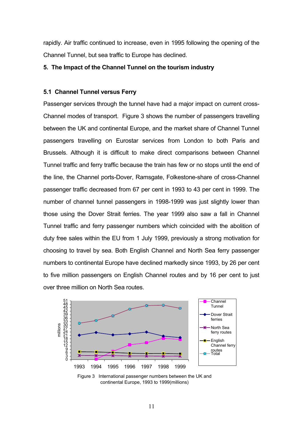rapidly. Air traffic continued to increase, even in 1995 following the opening of the Channel Tunnel, but sea traffic to Europe has declined.

#### **5. The Impact of the Channel Tunnel on the tourism industry**

# **5.1 Channel Tunnel versus Ferry**

Passenger services through the tunnel have had a major impact on current cross-Channel modes of transport. Figure 3 shows the number of passengers travelling between the UK and continental Europe, and the market share of Channel Tunnel passengers travelling on Eurostar services from London to both Paris and Brussels. Although it is difficult to make direct comparisons between Channel Tunnel traffic and ferry traffic because the train has few or no stops until the end of the line, the Channel ports-Dover, Ramsgate, Folkestone-share of cross-Channel passenger traffic decreased from 67 per cent in 1993 to 43 per cent in 1999. The number of channel tunnel passengers in 1998-1999 was just slightly lower than those using the Dover Strait ferries. The year 1999 also saw a fall in Channel Tunnel traffic and ferry passenger numbers which coincided with the abolition of duty free sales within the EU from 1 July 1999, previously a strong motivation for choosing to travel by sea. Both English Channel and North Sea ferry passenger numbers to continental Europe have declined markedly since 1993, by 26 per cent to five million passengers on English Channel routes and by 16 per cent to just over three million on North Sea routes.



continental Europe, 1993 to 1999(millions)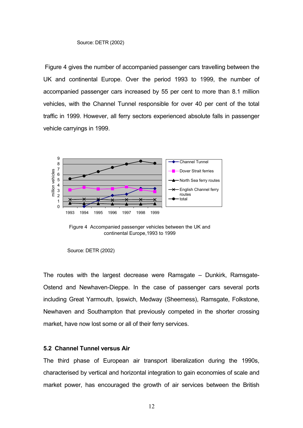Figure 4 gives the number of accompanied passenger cars travelling between the UK and continental Europe. Over the period 1993 to 1999, the number of accompanied passenger cars increased by 55 per cent to more than 8.1 million vehicles, with the Channel Tunnel responsible for over 40 per cent of the total traffic in 1999. However, all ferry sectors experienced absolute falls in passenger vehicle carryings in 1999.



Figure 4 Accompanied passenger vehicles between the UK and continental Europe,1993 to 1999

The routes with the largest decrease were Ramsgate – Dunkirk, Ramsgate-Ostend and Newhaven-Dieppe. In the case of passenger cars several ports including Great Yarmouth, Ipswich, Medway (Sheerness), Ramsgate, Folkstone, Newhaven and Southampton that previously competed in the shorter crossing market, have now lost some or all of their ferry services.

### **5.2 Channel Tunnel versus Air**

The third phase of European air transport liberalization during the 1990s, characterised by vertical and horizontal integration to gain economies of scale and market power, has encouraged the growth of air services between the British

Source: DETR (2002)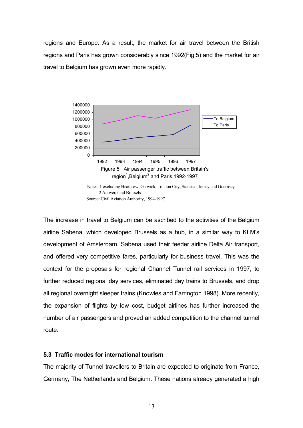regions and Europe. As a result, the market for air travel between the British regions and Paris has grown considerably since 1992(Fig.5) and the market for air travel to Belgium has grown even more rapidly.



Source: Civil Aviation Authority, 1994-1997

The increase in travel to Belgium can be ascribed to the activities of the Belgium airline Sabena, which developed Brussels as a hub, in a similar way to KLM's development of Amsterdam. Sabena used their feeder airline Delta Air transport, and offered very competitive fares, particularly for business travel. This was the context for the proposals for regional Channel Tunnel rail services in 1997, to further reduced regional day services, eliminated day trains to Brussels, and drop all regional overnight sleeper trains (Knowles and Farrington 1998). More recently, the expansion of flights by low cost, budget airlines has further increased the number of air passengers and proved an added competition to the channel tunnel route.

# **5.3 Traffic modes for international tourism**

The majority of Tunnel travellers to Britain are expected to originate from France, Germany, The Netherlands and Belgium. These nations already generated a high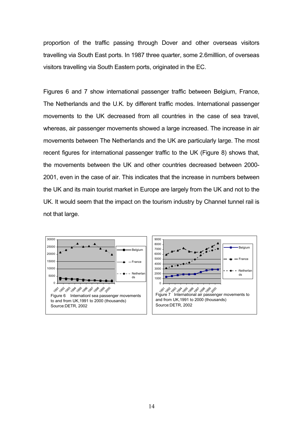proportion of the traffic passing through Dover and other overseas visitors travelling via South East ports. In 1987 three quarter, some 2.6milllion, of overseas visitors travelling via South Eastern ports, originated in the EC.

Figures 6 and 7 show international passenger traffic between Belgium, France, The Netherlands and the U.K. by different traffic modes. International passenger movements to the UK decreased from all countries in the case of sea travel, whereas, air passenger movements showed a large increased. The increase in air movements between The Netherlands and the UK are particularly large. The most recent figures for international passenger traffic to the UK (Figure 8) shows that, the movements between the UK and other countries decreased between 2000- 2001, even in the case of air. This indicates that the increase in numbers between the UK and its main tourist market in Europe are largely from the UK and not to the UK. It would seem that the impact on the tourism industry by Channel tunnel rail is not that large.



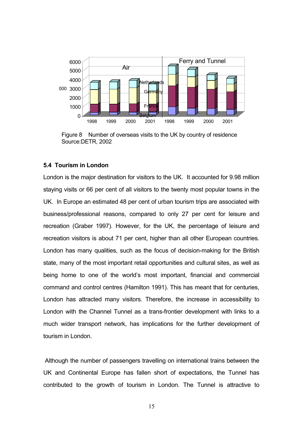

Figure 8 Number of overseas visits to the UK by country of residence Source:DETR, 2002

### **5.4 Tourism in London**

London is the major destination for visitors to the UK. It accounted for 9.98 million staying visits or 66 per cent of all visitors to the twenty most popular towns in the UK. In Europe an estimated 48 per cent of urban tourism trips are associated with business/professional reasons, compared to only 27 per cent for leisure and recreation (Graber 1997). However, for the UK, the percentage of leisure and recreation visitors is about 71 per cent, higher than all other European countries. London has many qualities, such as the focus of decision-making for the British state, many of the most important retail opportunities and cultural sites, as well as being home to one of the world's most important, financial and commercial command and control centres (Hamilton 1991). This has meant that for centuries, London has attracted many visitors. Therefore, the increase in accessibility to London with the Channel Tunnel as a trans-frontier development with links to a much wider transport network, has implications for the further development of tourism in London.

Although the number of passengers travelling on international trains between the UK and Continental Europe has fallen short of expectations, the Tunnel has contributed to the growth of tourism in London. The Tunnel is attractive to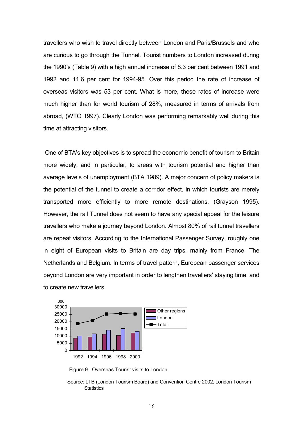travellers who wish to travel directly between London and Paris/Brussels and who are curious to go through the Tunnel. Tourist numbers to London increased during the 1990's (Table 9) with a high annual increase of 8.3 per cent between 1991 and 1992 and 11.6 per cent for 1994-95. Over this period the rate of increase of overseas visitors was 53 per cent. What is more, these rates of increase were much higher than for world tourism of 28%, measured in terms of arrivals from abroad, (WTO 1997). Clearly London was performing remarkably well during this time at attracting visitors.

 One of BTA's key objectives is to spread the economic benefit of tourism to Britain more widely, and in particular, to areas with tourism potential and higher than average levels of unemployment (BTA 1989). A major concern of policy makers is the potential of the tunnel to create a corridor effect, in which tourists are merely transported more efficiently to more remote destinations, (Grayson 1995). However, the rail Tunnel does not seem to have any special appeal for the leisure travellers who make a journey beyond London. Almost 80% of rail tunnel travellers are repeat visitors, According to the International Passenger Survey, roughly one in eight of European visits to Britain are day trips, mainly from France, The Netherlands and Belgium. In terms of travel pattern, European passenger services beyond London are very important in order to lengthen travellers' staying time, and to create new travellers.



Figure 9 Overseas Tourist visits to London

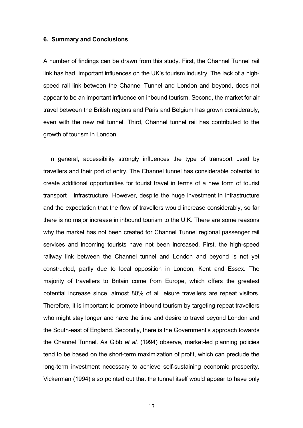# **6. Summary and Conclusions**

A number of findings can be drawn from this study. First, the Channel Tunnel rail link has had important influences on the UK's tourism industry. The lack of a highspeed rail link between the Channel Tunnel and London and beyond, does not appear to be an important influence on inbound tourism. Second, the market for air travel between the British regions and Paris and Belgium has grown considerably, even with the new rail tunnel. Third, Channel tunnel rail has contributed to the growth of tourism in London.

In general, accessibility strongly influences the type of transport used by travellers and their port of entry. The Channel tunnel has considerable potential to create additional opportunities for tourist travel in terms of a new form of tourist transport infrastructure. However, despite the huge investment in infrastructure and the expectation that the flow of travellers would increase considerably, so far there is no major increase in inbound tourism to the U.K. There are some reasons why the market has not been created for Channel Tunnel regional passenger rail services and incoming tourists have not been increased. First, the high-speed railway link between the Channel tunnel and London and beyond is not yet constructed, partly due to local opposition in London, Kent and Essex. The majority of travellers to Britain come from Europe, which offers the greatest potential increase since, almost 80% of all leisure travellers are repeat visitors. Therefore, it is important to promote inbound tourism by targeting repeat travellers who might stay longer and have the time and desire to travel beyond London and the South-east of England. Secondly, there is the Government's approach towards the Channel Tunnel. As Gibb *et al.* (1994) observe, market-led planning policies tend to be based on the short-term maximization of profit, which can preclude the long-term investment necessary to achieve self-sustaining economic prosperity. Vickerman (1994) also pointed out that the tunnel itself would appear to have only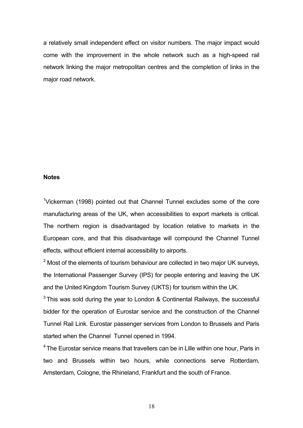a relatively small independent effect on visitor numbers. The major impact would come with the improvement in the whole network such as a high-speed rail network linking the major metropolitan centres and the completion of links in the major road network.

#### **Notes**

<sup>1</sup>Vickerman (1998) pointed out that Channel Tunnel excludes some of the core manufacturing areas of the UK, when accessibilities to export markets is critical. The northern region is disadvantaged by location relative to markets in the European core, and that this disadvantage will compound the Channel Tunnel effects, without efficient internal accessibility to airports.

 $2$  Most of the elements of tourism behaviour are collected in two major UK surveys, the International Passenger Survey (IPS) for people entering and leaving the UK and the United Kingdom Tourism Survey (UKTS) for tourism within the UK.

 $3$  This was sold during the year to London & Continental Railways, the successful bidder for the operation of Eurostar service and the construction of the Channel Tunnel Rail Link. Eurostar passenger services from London to Brussels and Paris started when the Channel Tunnel opened in 1994.

 $4$  The Eurostar service means that travellers can be in Lille within one hour. Paris in two and Brussels within two hours, while connections serve Rotterdam, Amsterdam, Cologne, the Rhineland, Frankfurt and the south of France.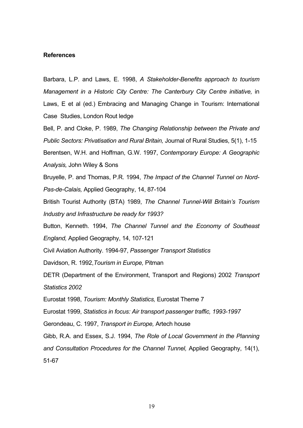#### **References**

Barbara, L.P. and Laws, E. 1998, *A Stakeholder-Benefits approach to tourism Management in a Historic City Centre: The Canterbury City Centre initiative,* in Laws, E et al (ed.) Embracing and Managing Change in Tourism: International Case Studies, London Rout ledge

Bell, P. and Cloke, P. 1989, *The Changing Relationship between the Private and Public Sectors: Privatisation and Rural Britain,* Journal of Rural Studies, 5(1), 1-15 Berentsen, W.H. and Hoffman, G.W. 1997, *Contemporary Europe: A Geographic*

*Analysis,* John Wiley & Sons

Bruyelle, P. and Thomas, P.R. 1994, *The Impact of the Channel Tunnel on Nord-Pas-de-Calais,* Applied Geography, 14, 87-104

British Tourist Authority (BTA) 1989, *The Channel Tunnel-Will Britain's Tourism Industry and Infrastructure be ready for 1993?* 

Button, Kenneth. 1994, *The Channel Tunnel and the Economy of Southeast England,* Applied Geography, 14, 107-121

Civil Aviation Authority. 1994-97, *Passenger Transport Statistics*

Davidson, R. 1992,*Tourism in Europe,* Pitman

DETR (Department of the Environment, Transport and Regions) 2002 *Transport Statistics 2002* 

Eurostat 1998, *Tourism: Monthly Statistics,* Eurostat Theme 7

Eurostat 1999, *Statistics in focus: Air transport passenger traffic, 1993-1997*

Gerondeau, C. 1997, *Transport in Europe,* Artech house

Gibb, R.A. and Essex, S.J. 1994, *The Role of Local Government in the Planning and Consultation Procedures for the Channel Tunnel,* Applied Geography, 14(1), 51-67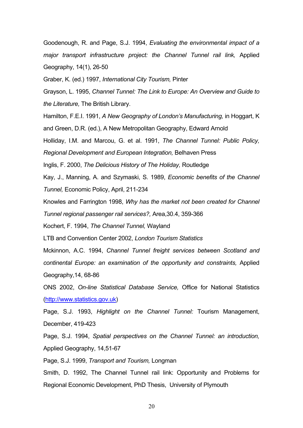Goodenough, R. and Page, S.J. 1994, *Evaluating the environmental impact of a major transport infrastructure project: the Channel Tunnel rail link,* Applied Geography, 14(1), 26-50

Graber, K. (ed.) 1997, *International City Tourism,* Pinter

Grayson, L. 1995, *Channel Tunnel: The Link to Europe: An Overview and Guide to the Literature,* The British Library.

Hamilton, F.E.I. 1991, *A New Geography of London's Manufacturing,* in Hoggart, K and Green, D.R. (ed.), A New Metropolitan Geography, Edward Arnold

Holliday, I.M. and Marcou, G. et al. 1991, *The Channel Tunnel: Public Policy,* 

*Regional Development and European Integration,* Belhaven Press

Inglis, F. 2000, *The Delicious History of The Holiday,* Routledge

Kay, J., Manning, A. and Szymaski, S. 1989, *Economic benefits of the Channel Tunnel,* Economic Policy, April, 211-234

Knowles and Farrington 1998, *Why has the market not been created for Channel* 

*Tunnel regional passenger rail services?,* Area,30.4, 359-366

Kochert, F. 1994, *The Channel Tunnel,* Wayland

LTB and Convention Center 2002, *London Tourism Statistics*

Mckinnon, A.C. 1994, *Channel Tunnel freight services between Scotland and continental Europe: an examination of the opportunity and constraints,* Applied Geography,14, 68-86

ONS 2002, *On-line Statistical Database Service,* Office for National Statistics [\(http://www.statistics.gov.uk\)](http://www.statistics.gov.uk/)

Page, S.J. 1993, *Highlight on the Channel Tunnel:* Tourism Management, December, 419-423

Page, S.J. 1994, *Spatial perspectives on the Channel Tunnel: an introduction,* Applied Geography, 14,51-67

Page, S.J. 1999, *Transport and Tourism,* Longman

Smith, D. 1992, The Channel Tunnel rail link: Opportunity and Problems for Regional Economic Development, PhD Thesis, University of Plymouth